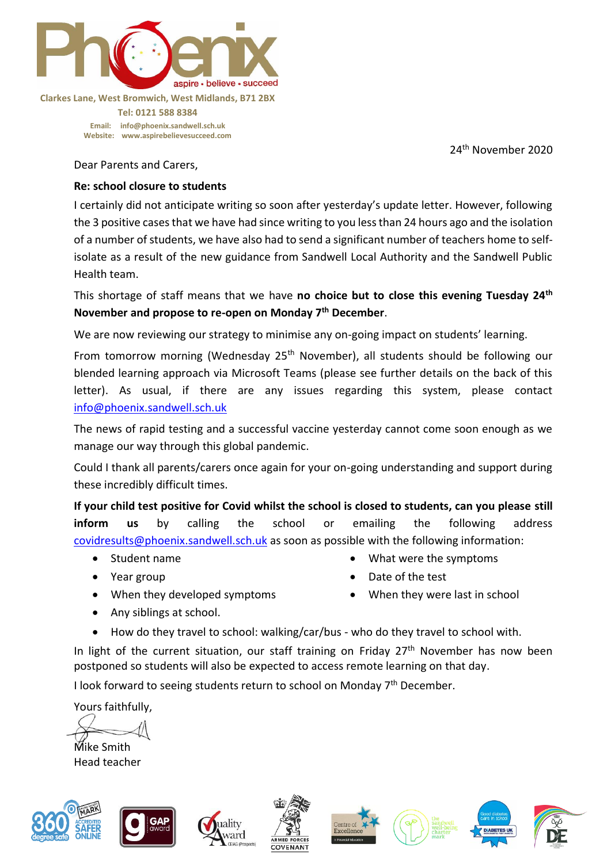

## **Clarkes Lane, West Bromwich, West Midlands, B71 2BX**

**Tel: 0121 588 8384 Email: [info@phoenix.sandwell.sch.uk](mailto:info@phoenix.sandwell.sch.uk) Website: www.aspirebelievesucceed.com**

24 th November 2020

Dear Parents and Carers,

## **Re: school closure to students**

I certainly did not anticipate writing so soon after yesterday's update letter. However, following the 3 positive cases that we have had since writing to you less than 24 hours ago and the isolation of a number of students, we have also had to send a significant number of teachers home to selfisolate as a result of the new guidance from Sandwell Local Authority and the Sandwell Public Health team.

This shortage of staff means that we have **no choice but to close this evening Tuesday 24th November and propose to re-open on Monday 7th December**.

We are now reviewing our strategy to minimise any on-going impact on students' learning.

From tomorrow morning (Wednesday 25<sup>th</sup> November), all students should be following our blended learning approach via Microsoft Teams (please see further details on the back of this letter). As usual, if there are any issues regarding this system, please contact [info@phoenix.sandwell.sch.uk](mailto:info@phoenix.sandwell.sch.uk)

The news of rapid testing and a successful vaccine yesterday cannot come soon enough as we manage our way through this global pandemic.

Could I thank all parents/carers once again for your on-going understanding and support during these incredibly difficult times.

**If your child test positive for Covid whilst the school is closed to students, can you please still inform us** by calling the school or emailing the following address [covidresults@phoenix.sandwell.sch.uk](mailto:covidresults@phoenix.sandwell.sch.uk) as soon as possible with the following information:

- Student name
- Year group
- What were the symptoms
- Date of the test
- When they developed symptoms
- When they were last in school

- Any siblings at school.
- How do they travel to school: walking/car/bus who do they travel to school with.

In light of the current situation, our staff training on Friday  $27<sup>th</sup>$  November has now been postponed so students will also be expected to access remote learning on that day.

I look forward to seeing students return to school on Monday  $7<sup>th</sup>$  December.

Yours faithfully,

Mike Smith

Head teacher







lity